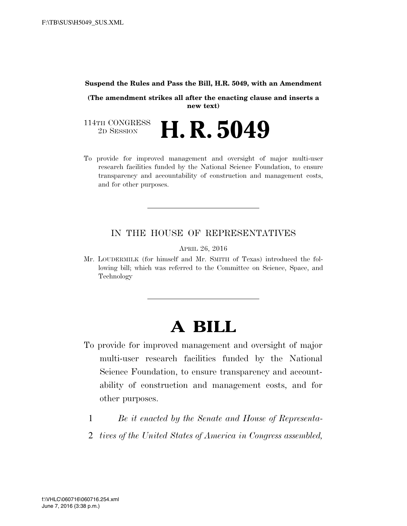#### **Suspend the Rules and Pass the Bill, H.R. 5049, with an Amendment**

**(The amendment strikes all after the enacting clause and inserts a new text)** 

114TH CONGRESS<br>2D SESSION 2D SESSION **H. R. 5049** 

To provide for improved management and oversight of major multi-user research facilities funded by the National Science Foundation, to ensure transparency and accountability of construction and management costs, and for other purposes.

### IN THE HOUSE OF REPRESENTATIVES

APRIL 26, 2016

Mr. LOUDERMILK (for himself and Mr. SMITH of Texas) introduced the following bill; which was referred to the Committee on Science, Space, and Technology

# **A BILL**

- To provide for improved management and oversight of major multi-user research facilities funded by the National Science Foundation, to ensure transparency and accountability of construction and management costs, and for other purposes.
	- 1 *Be it enacted by the Senate and House of Representa-*
	- 2 *tives of the United States of America in Congress assembled,*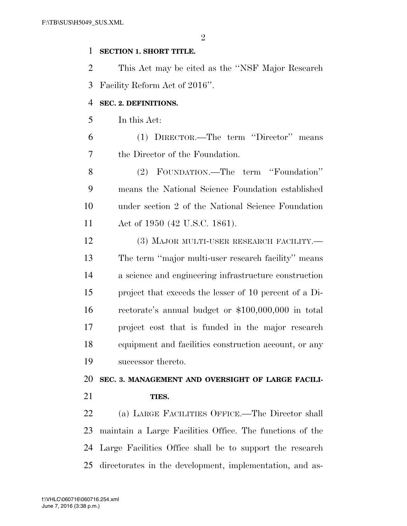$\mathfrak{D}$ 

### **SECTION 1. SHORT TITLE.**

 This Act may be cited as the ''NSF Major Research Facility Reform Act of 2016''.

#### **SEC. 2. DEFINITIONS.**

In this Act:

 (1) DIRECTOR.—The term ''Director'' means the Director of the Foundation.

 (2) FOUNDATION.—The term ''Foundation'' means the National Science Foundation established under section 2 of the National Science Foundation Act of 1950 (42 U.S.C. 1861).

12 (3) MAJOR MULTI-USER RESEARCH FACILITY.— The term ''major multi-user research facility'' means a science and engineering infrastructure construction project that exceeds the lesser of 10 percent of a Di- rectorate's annual budget or \$100,000,000 in total project cost that is funded in the major research equipment and facilities construction account, or any successor thereto.

 **SEC. 3. MANAGEMENT AND OVERSIGHT OF LARGE FACILI-TIES.** 

 (a) LARGE FACILITIES OFFICE.—The Director shall maintain a Large Facilities Office. The functions of the Large Facilities Office shall be to support the research directorates in the development, implementation, and as-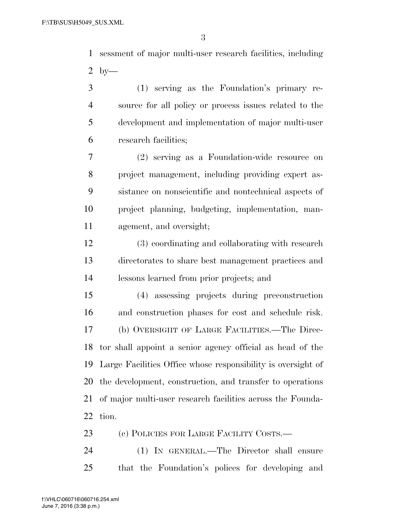sessment of major multi-user research facilities, including by—

 (1) serving as the Foundation's primary re- source for all policy or process issues related to the development and implementation of major multi-user research facilities;

 (2) serving as a Foundation-wide resource on project management, including providing expert as- sistance on nonscientific and nontechnical aspects of project planning, budgeting, implementation, man-agement, and oversight;

 (3) coordinating and collaborating with research directorates to share best management practices and lessons learned from prior projects; and

 (4) assessing projects during preconstruction and construction phases for cost and schedule risk. (b) OVERSIGHT OF LARGE FACILITIES.—The Direc- tor shall appoint a senior agency official as head of the Large Facilities Office whose responsibility is oversight of the development, construction, and transfer to operations of major multi-user research facilities across the Founda-tion.

23 (c) POLICIES FOR LARGE FACILITY COSTS.—

 (1) IN GENERAL.—The Director shall ensure that the Foundation's polices for developing and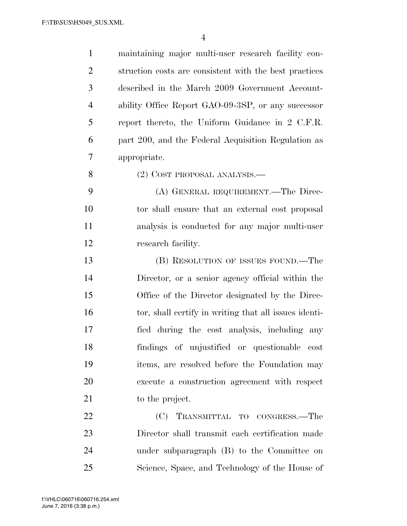maintaining major multi-user research facility con- struction costs are consistent with the best practices described in the March 2009 Government Account- ability Office Report GAO-09-3SP, or any successor report thereto, the Uniform Guidance in 2 C.F.R. part 200, and the Federal Acquisition Regulation as appropriate. (2) COST PROPOSAL ANALYSIS.— (A) GENERAL REQUIREMENT.—The Direc-

 tor shall ensure that an external cost proposal analysis is conducted for any major multi-user research facility.

 (B) RESOLUTION OF ISSUES FOUND.—The Director, or a senior agency official within the Office of the Director designated by the Direc- tor, shall certify in writing that all issues identi- fied during the cost analysis, including any findings of unjustified or questionable cost items, are resolved before the Foundation may execute a construction agreement with respect 21 to the project.

22 (C) TRANSMITTAL TO CONGRESS.—The Director shall transmit each certification made under subparagraph (B) to the Committee on Science, Space, and Technology of the House of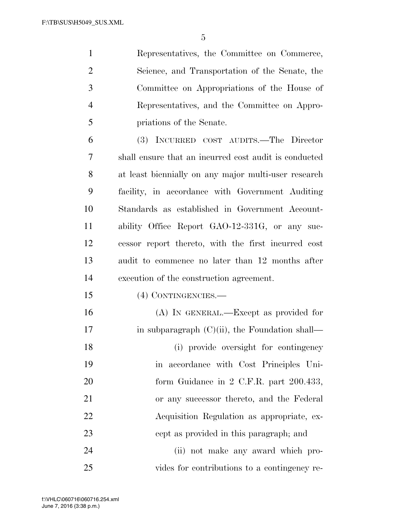Representatives, the Committee on Commerce, Science, and Transportation of the Senate, the Committee on Appropriations of the House of Representatives, and the Committee on Appro-priations of the Senate.

 (3) INCURRED COST AUDITS.—The Director shall ensure that an incurred cost audit is conducted at least biennially on any major multi-user research facility, in accordance with Government Auditing Standards as established in Government Account- ability Office Report GAO-12-331G, or any suc- cessor report thereto, with the first incurred cost audit to commence no later than 12 months after execution of the construction agreement.

(4) CONTINGENCIES.—

 (A) IN GENERAL.—Except as provided for 17 in subparagraph  $(C)(ii)$ , the Foundation shall— (i) provide oversight for contingency in accordance with Cost Principles Uni-20 form Guidance in 2 C.F.R. part 200.433, or any successor thereto, and the Federal Acquisition Regulation as appropriate, ex-cept as provided in this paragraph; and

 (ii) not make any award which pro-vides for contributions to a contingency re-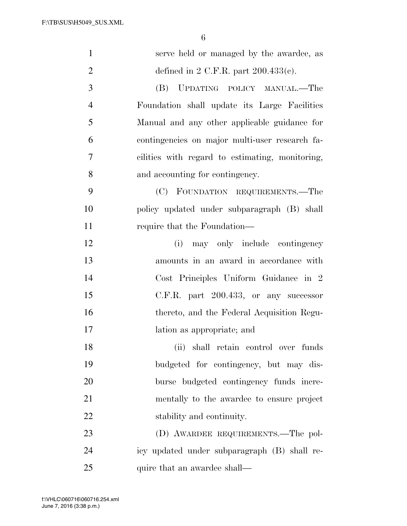| $\mathbf{1}$   | serve held or managed by the awardee, as        |
|----------------|-------------------------------------------------|
| $\overline{2}$ | defined in 2 C.F.R. part $200.433(c)$ .         |
| 3              | (B) UPDATING POLICY MANUAL.—The                 |
| $\overline{4}$ | Foundation shall update its Large Facilities    |
| 5              | Manual and any other applicable guidance for    |
| 6              | contingencies on major multi-user research fa-  |
| 7              | cilities with regard to estimating, monitoring, |
| 8              | and accounting for contingency.                 |
| 9              | (C) FOUNDATION REQUIREMENTS.—The                |
| 10             | policy updated under subparagraph (B) shall     |
| 11             | require that the Foundation—                    |
| 12             | may only include contingency<br>(i)             |
| 13             | amounts in an award in accordance with          |
| 14             | Cost Principles Uniform Guidance in 2           |
| 15             | $C.F.R.$ part $200.433$ , or any successor      |
| 16             | thereto, and the Federal Acquisition Regu-      |
| 17             | lation as appropriate; and                      |
| 18             | (ii) shall retain control over funds            |
| 19             | budgeted for contingency, but may dis-          |
| 20             | burse budgeted contingency funds incre-         |
| 21             | mentally to the awardee to ensure project       |
| 22             | stability and continuity.                       |
| 23             | (D) AWARDEE REQUIREMENTS.—The pol-              |
| 24             | icy updated under subparagraph (B) shall re-    |
| 25             | quire that an awardee shall—                    |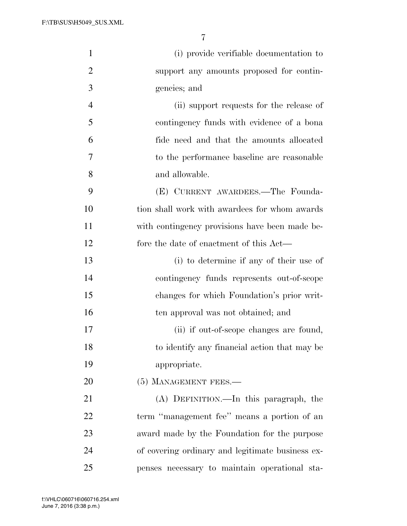| $\mathbf{1}$   | (i) provide verifiable documentation to          |
|----------------|--------------------------------------------------|
| $\overline{2}$ | support any amounts proposed for contin-         |
| 3              | gencies; and                                     |
| $\overline{4}$ | (ii) support requests for the release of         |
| 5              | contingency funds with evidence of a bona        |
| 6              | fide need and that the amounts allocated         |
| 7              | to the performance baseline are reasonable       |
| 8              | and allowable.                                   |
| 9              | (E) CURRENT AWARDEES.—The Founda-                |
| 10             | tion shall work with awardees for whom awards    |
| 11             | with contingency provisions have been made be-   |
| 12             | fore the date of enactment of this Act—          |
| 13             | (i) to determine if any of their use of          |
| 14             | contingency funds represents out-of-scope        |
| 15             | changes for which Foundation's prior writ-       |
| 16             | ten approval was not obtained; and               |
| 17             | (ii) if out-of-scope changes are found,          |
| 18             | to identify any financial action that may be     |
| 19             | appropriate.                                     |
| 20             | (5) MANAGEMENT FEES.-                            |
| 21             | (A) DEFINITION.—In this paragraph, the           |
| 22             | term "management fee" means a portion of an      |
| 23             | award made by the Foundation for the purpose     |
| 24             | of covering ordinary and legitimate business ex- |
| 25             | penses necessary to maintain operational sta-    |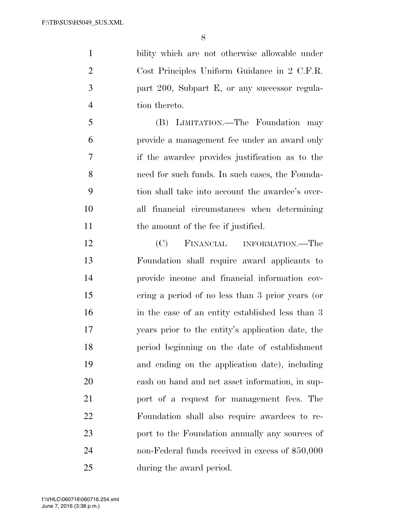bility which are not otherwise allowable under Cost Principles Uniform Guidance in 2 C.F.R. part 200, Subpart E, or any successor regula-tion thereto.

 (B) LIMITATION.—The Foundation may provide a management fee under an award only if the awardee provides justification as to the need for such funds. In such cases, the Founda- tion shall take into account the awardee's over- all financial circumstances when determining 11 the amount of the fee if justified.

 (C) FINANCIAL INFORMATION.—The Foundation shall require award applicants to provide income and financial information cov- ering a period of no less than 3 prior years (or in the case of an entity established less than 3 years prior to the entity's application date, the period beginning on the date of establishment and ending on the application date), including cash on hand and net asset information, in sup- port of a request for management fees. The Foundation shall also require awardees to re- port to the Foundation annually any sources of non-Federal funds received in excess of \$50,000 during the award period.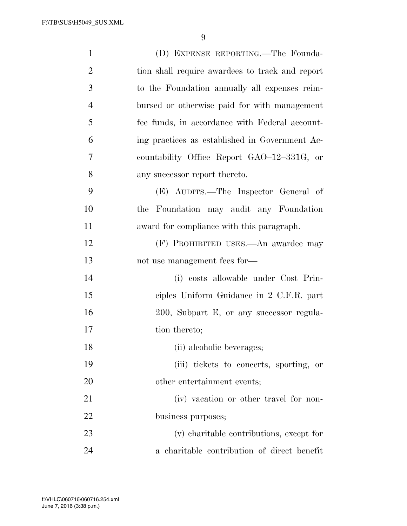| $\mathbf{1}$   | (D) EXPENSE REPORTING.—The Founda-              |
|----------------|-------------------------------------------------|
| $\overline{2}$ | tion shall require awardees to track and report |
| 3              | to the Foundation annually all expenses reim-   |
| $\overline{4}$ | bursed or otherwise paid for with management    |
| 5              | fee funds, in accordance with Federal account-  |
| 6              | ing practices as established in Government Ac-  |
| 7              | countability Office Report GAO-12-331G, or      |
| 8              | any successor report thereto.                   |
| 9              | (E) AUDITS.—The Inspector General of            |
| 10             | the Foundation may audit any Foundation         |
| 11             | award for compliance with this paragraph.       |
| 12             | (F) PROHIBITED USES.—An awardee may             |
| 13             | not use management fees for-                    |
| 14             | (i) costs allowable under Cost Prin-            |
| 15             | ciples Uniform Guidance in 2 C.F.R. part        |
| 16             | 200, Subpart E, or any successor regula-        |
| 17             | tion thereto;                                   |
| 18             | (ii) alcoholic beverages;                       |
| 19             | (iii) tickets to concerts, sporting, or         |
| 20             | other entertainment events;                     |
| 21             | (iv) vacation or other travel for non-          |
| 22             | business purposes;                              |
| 23             | (v) charitable contributions, except for        |
| 24             | a charitable contribution of direct benefit     |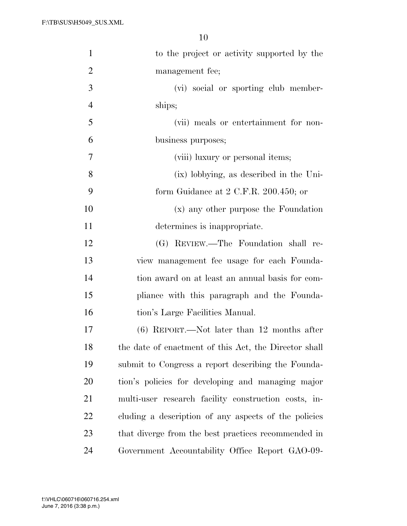| $\mathbf{1}$   | to the project or activity supported by the           |
|----------------|-------------------------------------------------------|
| $\overline{2}$ | management fee;                                       |
| 3              | (vi) social or sporting club member-                  |
| $\overline{4}$ | ships;                                                |
| 5              | (vii) meals or entertainment for non-                 |
| 6              | business purposes;                                    |
| 7              | (viii) luxury or personal items;                      |
| 8              | (ix) lobbying, as described in the Uni-               |
| 9              | form Guidance at $2$ C.F.R. $200.450$ ; or            |
| 10             | (x) any other purpose the Foundation                  |
| 11             | determines is inappropriate.                          |
| 12             | (G) REVIEW.—The Foundation shall re-                  |
| 13             | view management fee usage for each Founda-            |
| 14             | tion award on at least an annual basis for com-       |
| 15             | pliance with this paragraph and the Founda-           |
| 16             | tion's Large Facilities Manual.                       |
| 17             | $(6)$ REPORT.—Not later than 12 months after          |
| 18             | the date of enactment of this Act, the Director shall |
| 19             | submit to Congress a report describing the Founda-    |
| 20             | tion's policies for developing and managing major     |
| 21             | multi-user research facility construction costs, in-  |
| 22             | cluding a description of any aspects of the policies  |
| 23             | that diverge from the best practices recommended in   |
| 24             | Government Accountability Office Report GAO-09-       |